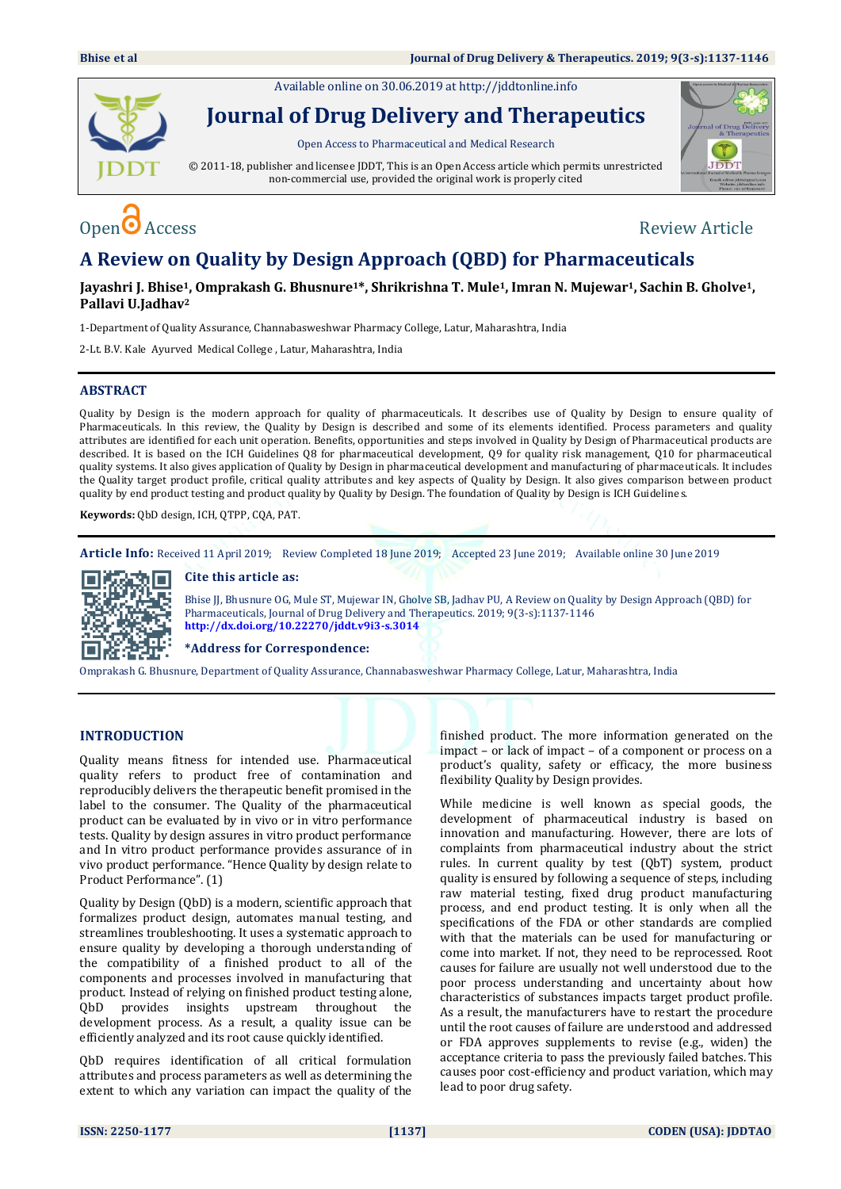Available online on 30.06.2019 a[t http://jddtonline.info](http://jddtonline.info/)



**Journal of Drug Delivery and Therapeutics**

Open Access to Pharmaceutical and Medical Research

© 2011-18, publisher and licensee JDDT, This is an Open Access article which permits unrestricted non-commercial use, provided the original work is properly cited



# Open ● Access Review Article

# **A Review on Quality by Design Approach (QBD) for Pharmaceuticals**

### **Jayashri J. Bhise1, Omprakash G. Bhusnure1\*, Shrikrishna T. Mule1, Imran N. Mujewar1, Sachin B. Gholve1, Pallavi U.Jadhav<sup>2</sup>**

1-Department of Quality Assurance, Channabasweshwar Pharmacy College, Latur, Maharashtra, India

2-Lt. B.V. Kale Ayurved Medical College , Latur, Maharashtra, India

#### **ABSTRACT**

Quality by Design is the modern approach for quality of pharmaceuticals. It describes use of Quality by Design to ensure quality of Pharmaceuticals. In this review, the Quality by Design is described and some of its elements identified. Process parameters and quality attributes are identified for each unit operation. Benefits, opportunities and steps involved in Quality by Design of Pharmaceutical products are described. It is based on the ICH Guidelines Q8 for pharmaceutical development, Q9 for quality risk management, Q10 for pharmaceutical quality systems. It also gives application of Quality by Design in pharmaceutical development and manufacturing of pharmaceuticals. It includes the Quality target product profile, critical quality attributes and key aspects of Quality by Design. It also gives comparison between product quality by end product testing and product quality by Quality by Design. The foundation of Quality by Design is ICH Guidelines.

**Keywords:** QbD design, ICH, QTPP, CQA, PAT.

**Article Info:** Received 11 April 2019; Review Completed 18 June 2019; Accepted 23 June 2019; Available online 30 June 2019



#### **Cite this article as:**

Bhise JJ, Bhusnure OG, Mule ST, Mujewar IN, Gholve SB, Jadhav PU, A Review on Quality by Design Approach (QBD) for Pharmaceuticals, Journal of Drug Delivery and Therapeutics. 2019; 9(3-s):1137-1146 **<http://dx.doi.org/10.22270/jddt.v9i3-s.3014>**

**\*Address for Correspondence:** 

Omprakash G. Bhusnure, Department of Quality Assurance, Channabasweshwar Pharmacy College, Latur, Maharashtra, India

#### **INTRODUCTION**

Quality means fitness for intended use. Pharmaceutical quality refers to product free of contamination and reproducibly delivers the therapeutic benefit promised in the label to the consumer. The Quality of the pharmaceutical product can be evaluated by in vivo or in vitro performance tests. Quality by design assures in vitro product performance and In vitro product performance provides assurance of in vivo product performance. "Hence Quality by design relate to Product Performance". (1)

Quality by Design (QbD) is a modern, scientific approach that formalizes product design, automates manual testing, and streamlines troubleshooting. It uses a systematic approach to ensure quality by developing a thorough understanding of the compatibility of a finished product to all of the components and processes involved in manufacturing that product. Instead of relying on finished product testing alone, QbD provides insights upstream throughout the development process. As a result, a quality issue can be efficiently analyzed and its root cause quickly identified.

QbD requires identification of all critical formulation attributes and process parameters as well as determining the extent to which any variation can impact the quality of the

finished product. The more information generated on the impact – or lack of impact – of a component or process on a product's quality, safety or efficacy, the more business flexibility Quality by Design provides.

While medicine is well known as special goods, the development of pharmaceutical industry is based on innovation and manufacturing. However, there are lots of complaints from pharmaceutical industry about the strict rules. In current quality by test (QbT) system, product quality is ensured by following a sequence of steps, including raw material testing, fixed drug product manufacturing process, and end product testing. It is only when all the specifications of the FDA or other standards are complied with that the materials can be used for manufacturing or come into market. If not, they need to be reprocessed. Root causes for failure are usually not well understood due to the poor process understanding and uncertainty about how characteristics of substances impacts target product profile. As a result, the manufacturers have to restart the procedure until the root causes of failure are understood and addressed or FDA approves supplements to revise (e.g., widen) the acceptance criteria to pass the previously failed batches. This causes poor cost-efficiency and product variation, which may lead to poor drug safety.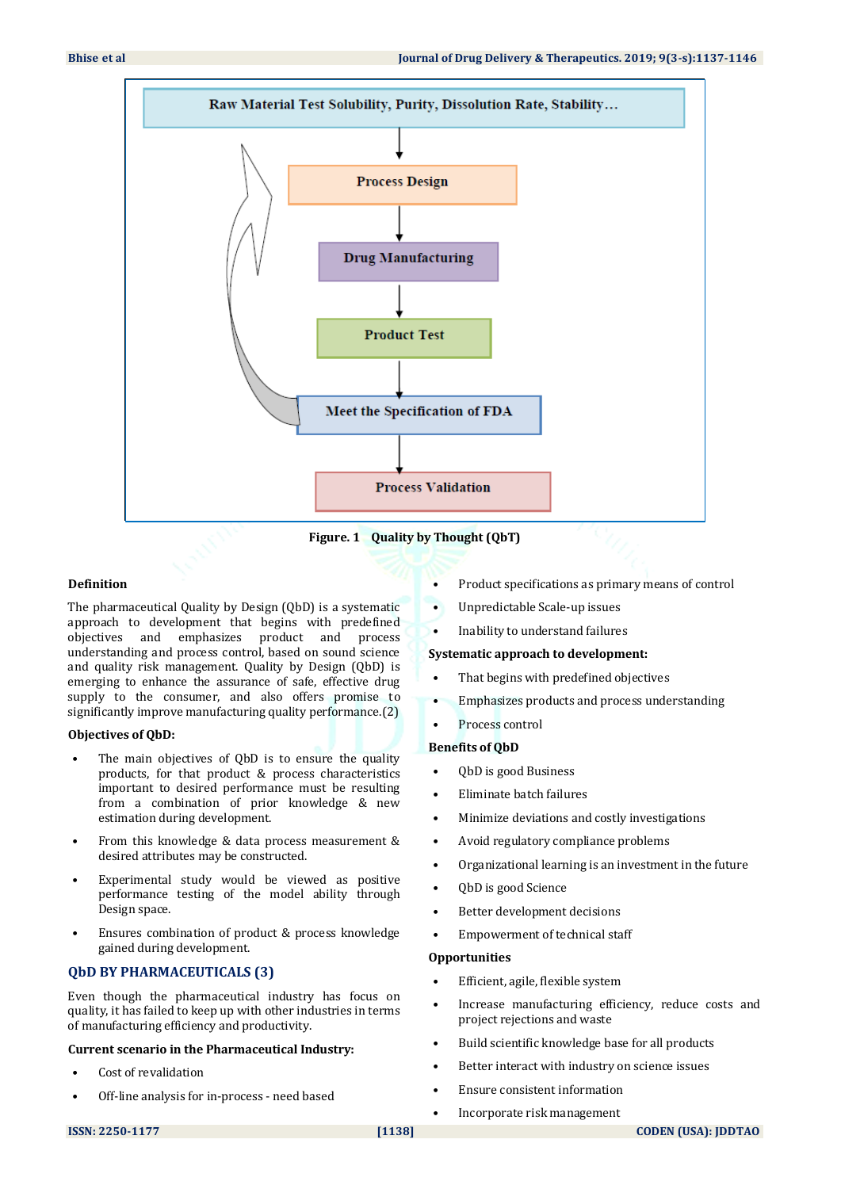

**Figure. 1 Quality by Thought (QbT)**

#### **Definition**

The pharmaceutical Quality by Design (QbD) is a systematic approach to development that begins with predefined objectives and emphasizes product and process understanding and process control, based on sound science and quality risk management. Quality by Design (QbD) is emerging to enhance the assurance of safe, effective drug supply to the consumer, and also offers promise to significantly improve manufacturing quality performance.(2)

#### **Objectives of QbD:**

- The main objectives of QbD is to ensure the quality products, for that product & process characteristics important to desired performance must be resulting from a combination of prior knowledge & new estimation during development.
- From this knowledge & data process measurement & desired attributes may be constructed.
- Experimental study would be viewed as positive performance testing of the model ability through Design space.
- Ensures combination of product & process knowledge gained during development.

### **QbD BY PHARMACEUTICALS (3)**

Even though the pharmaceutical industry has focus on quality, it has failed to keep up with other industries in terms of manufacturing efficiency and productivity.

#### **Current scenario in the Pharmaceutical Industry:**

- Cost of revalidation
- Off-line analysis for in-process need based
- Product specifications as primary means of control
- Unpredictable Scale‐up issues
- Inability to understand failures

#### **Systematic approach to development:**

- That begins with predefined objectives
- Emphasizes products and process understanding
- Process control

#### **Benefits of QbD**

- QbD is good Business
- Eliminate batch failures
- Minimize deviations and costly investigations
- Avoid regulatory compliance problems
- Organizational learning is an investment in the future
- QbD is good Science
- Better development decisions
- Empowerment of technical staff

#### **Opportunities**

- Efficient, agile, flexible system
- Increase manufacturing efficiency, reduce costs and project rejections and waste
- Build scientific knowledge base for all products
- Better interact with industry on science issues
- Ensure consistent information
- Incorporate risk management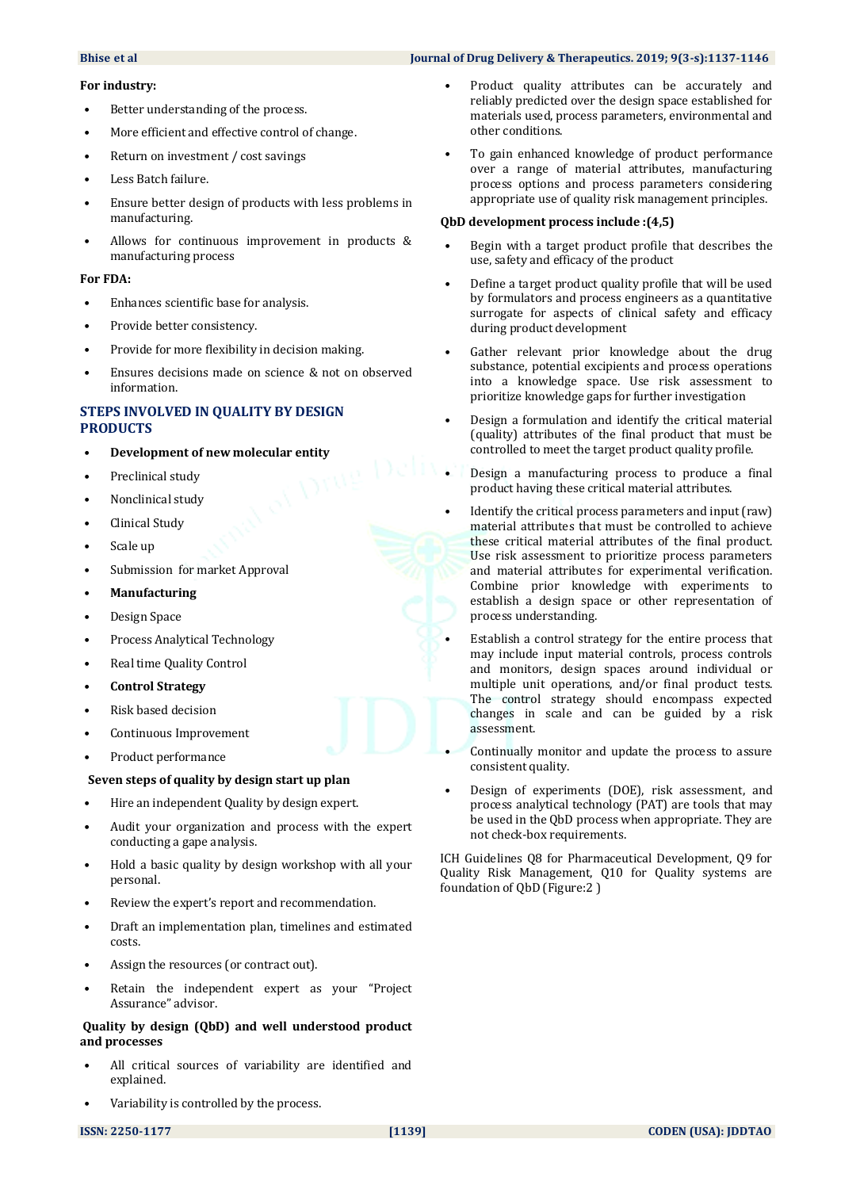## **For industry:**

- Better understanding of the process.
- More efficient and effective control of change.
- Return on investment / cost savings
- Less Batch failure.
- Ensure better design of products with less problems in manufacturing.
- Allows for continuous improvement in products & manufacturing process

# **For FDA:**

- Enhances scientific base for analysis.
- Provide better consistency.
- Provide for more flexibility in decision making.
- Ensures decisions made on science & not on observed information.

# **STEPS INVOLVED IN QUALITY BY DESIGN PRODUCTS**

- **Development of new molecular entity**
- Preclinical study
- Nonclinical study
- Clinical Study
- Scale up
- Submission for market Approval
- **Manufacturing**
- Design Space
- Process Analytical Technology
- Real time Quality Control
- **Control Strategy**
- Risk based decision
- Continuous Improvement
- Product performance

# **Seven steps of quality by design start up plan**

- Hire an independent Quality by design expert.
- Audit your organization and process with the expert conducting a gape analysis.
- Hold a basic quality by design workshop with all your personal.
- Review the expert's report and recommendation.
- Draft an implementation plan, timelines and estimated costs.
- Assign the resources (or contract out).
- Retain the independent expert as your "Project Assurance" advisor.

# **Quality by design (QbD) and well understood product and processes**

- All critical sources of variability are identified and explained.
- Variability is controlled by the process.
- Product quality attributes can be accurately and reliably predicted over the design space established for materials used, process parameters, environmental and other conditions.
- To gain enhanced knowledge of product performance over a range of material attributes, manufacturing process options and process parameters considering appropriate use of quality risk management principles.

# **QbD development process include :(4,5)**

- Begin with a target product profile that describes the use, safety and efficacy of the product
- Define a target product quality profile that will be used by formulators and process engineers as a quantitative surrogate for aspects of clinical safety and efficacy during product development
- Gather relevant prior knowledge about the drug substance, potential excipients and process operations into a knowledge space. Use risk assessment to prioritize knowledge gaps for further investigation
- Design a formulation and identify the critical material (quality) attributes of the final product that must be controlled to meet the target product quality profile.
- Design a manufacturing process to produce a final product having these critical material attributes.
	- Identify the critical process parameters and input (raw) material attributes that must be controlled to achieve these critical material attributes of the final product. Use risk assessment to prioritize process parameters and material attributes for experimental verification. Combine prior knowledge with experiments to establish a design space or other representation of process understanding.
	- Establish a control strategy for the entire process that may include input material controls, process controls and monitors, design spaces around individual or multiple unit operations, and/or final product tests. The control strategy should encompass expected changes in scale and can be guided by a risk assessment.
- Continually monitor and update the process to assure consistent quality.
- Design of experiments (DOE), risk assessment, and process analytical technology (PAT) are tools that may be used in the QbD process when appropriate. They are not check-box requirements.

ICH Guidelines Q8 for Pharmaceutical Development, Q9 for Quality Risk Management, Q10 for Quality systems are foundation of QbD (Figure:2 )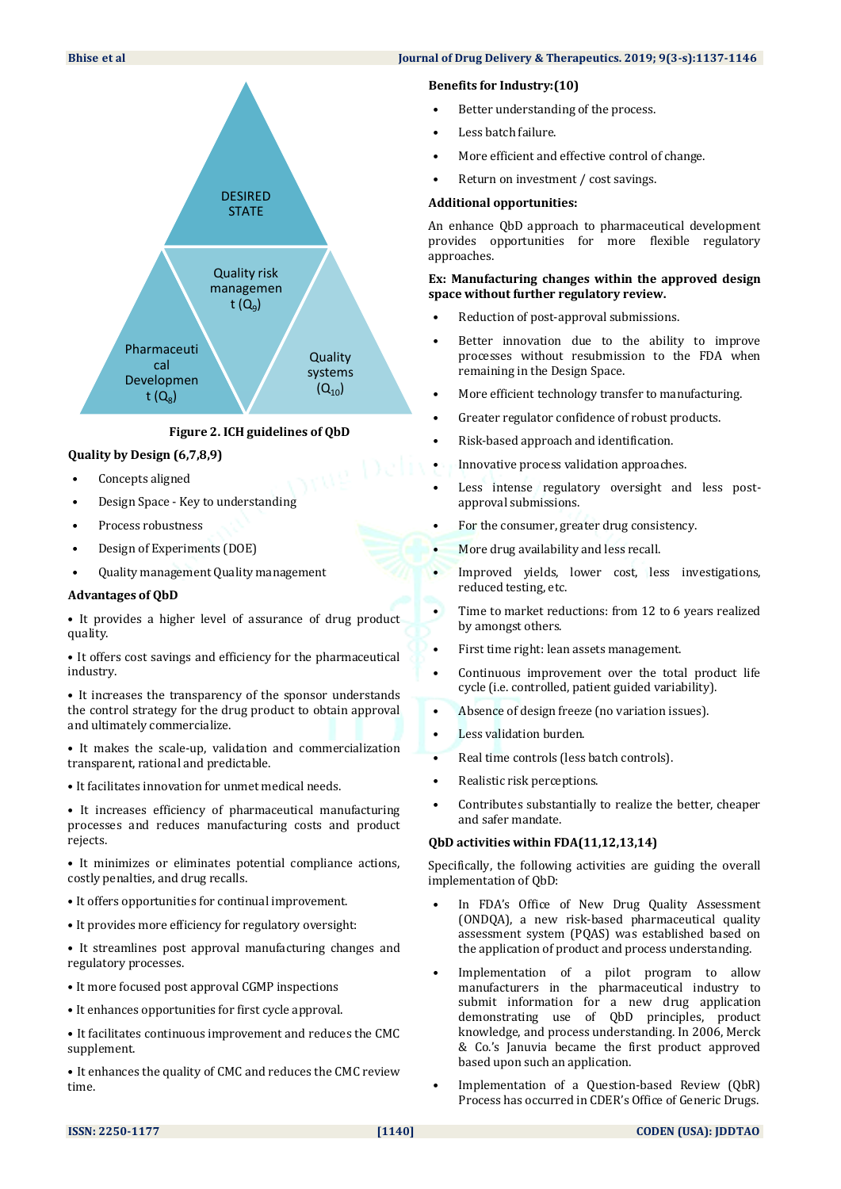

### **Figure 2. ICH guidelines of QbD**

# **Quality by Design (6,7,8,9)**

- Concepts aligned
- Design Space Key to understanding
- Process robustness
- Design of Experiments (DOE)
- Quality management Quality management

#### **Advantages of QbD**

• It provides a higher level of assurance of drug product quality.

• It offers cost savings and efficiency for the pharmaceutical industry.

• It increases the transparency of the sponsor understands the control strategy for the drug product to obtain approval and ultimately commercialize.

• It makes the scale-up, validation and commercialization transparent, rational and predictable.

• It facilitates innovation for unmet medical needs.

• It increases efficiency of pharmaceutical manufacturing processes and reduces manufacturing costs and product rejects.

• It minimizes or eliminates potential compliance actions, costly penalties, and drug recalls.

- It offers opportunities for continual improvement.
- It provides more efficiency for regulatory oversight:

• It streamlines post approval manufacturing changes and regulatory processes.

- It more focused post approval CGMP inspections
- It enhances opportunities for first cycle approval.
- It facilitates continuous improvement and reduces the CMC supplement.

• It enhances the quality of CMC and reduces the CMC review time.

#### **Bhise et al Journal of Drug Delivery & Therapeutics. 2019; 9(3-s):1137-1146**

#### **Benefits for Industry:(10)**

- Better understanding of the process.
- Less batch failure.
- More efficient and effective control of change.
- Return on investment / cost savings.

#### **Additional opportunities:**

An enhance QbD approach to pharmaceutical development provides opportunities for more flexible regulatory approaches.

#### **Ex: Manufacturing changes within the approved design space without further regulatory review.**

- Reduction of post-approval submissions.
- Better innovation due to the ability to improve processes without resubmission to the FDA when remaining in the Design Space.
- More efficient technology transfer to manufacturing.
- Greater regulator confidence of robust products.
- Risk-based approach and identification.
- Innovative process validation approaches.
- Less intense regulatory oversight and less postapproval submissions.
- For the consumer, greater drug consistency.
- More drug availability and less recall.
- Improved yields, lower cost, less investigations, reduced testing, etc.
- Time to market reductions: from 12 to 6 years realized by amongst others.
- First time right: lean assets management.
- Continuous improvement over the total product life cycle (i.e. controlled, patient guided variability).
- Absence of design freeze (no variation issues).
- Less validation burden.
- Real time controls (less batch controls).
- Realistic risk perceptions.
- Contributes substantially to realize the better, cheaper and safer mandate.

#### **QbD activities within FDA(11,12,13,14)**

Specifically, the following activities are guiding the overall implementation of QbD:

- In FDA's Office of New Drug Quality Assessment (ONDQA), a new risk-based pharmaceutical quality assessment system (PQAS) was established based on the application of product and process understanding.
- Implementation of a pilot program to allow manufacturers in the pharmaceutical industry to submit information for a new drug application demonstrating use of QbD principles, product knowledge, and process understanding. In 2006, Merck & Co.'s Januvia became the first product approved based upon such an application.
- Implementation of a Question-based Review (QbR) Process has occurred in CDER's Office of Generic Drugs.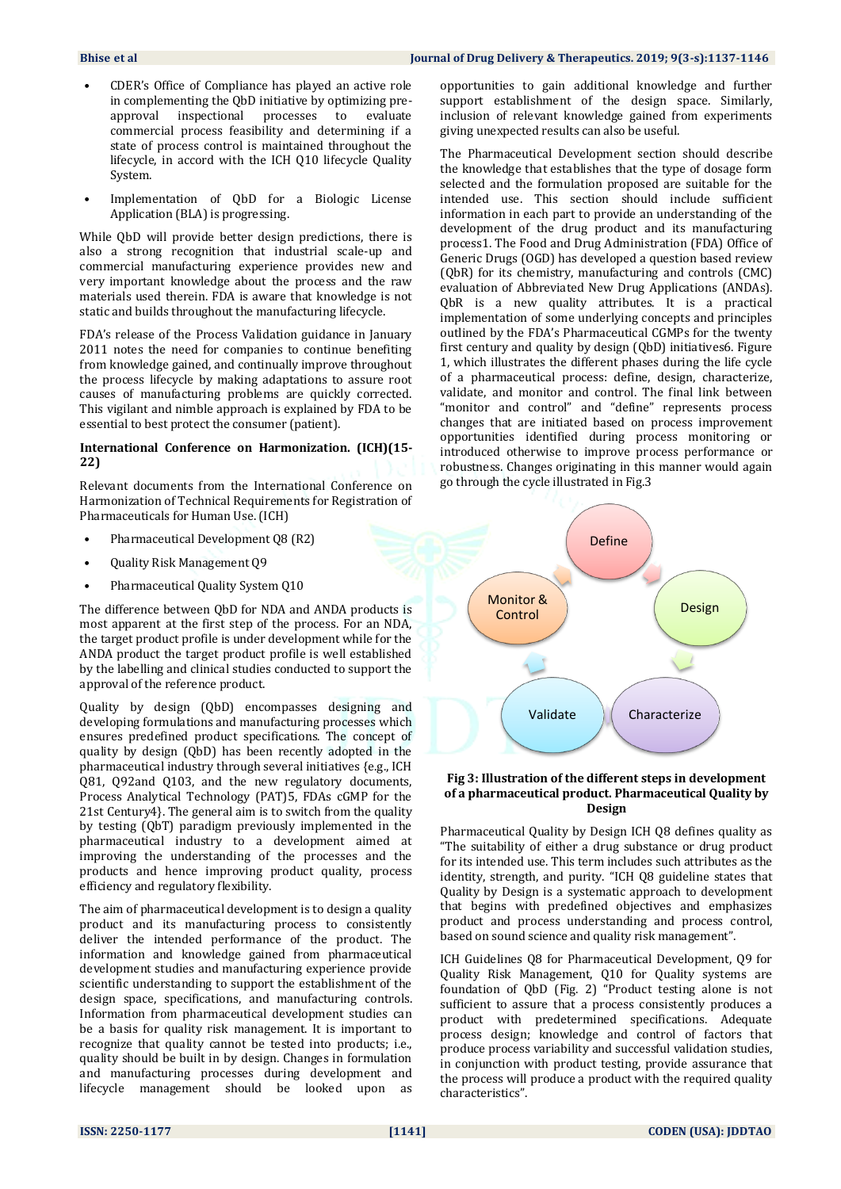- CDER's Office of Compliance has played an active role in complementing the QbD initiative by optimizing preapproval inspectional processes to evaluate commercial process feasibility and determining if a state of process control is maintained throughout the lifecycle, in accord with the ICH Q10 lifecycle Quality System.
- Implementation of QbD for a Biologic License Application (BLA) is progressing.

While QbD will provide better design predictions, there is also a strong recognition that industrial scale-up and commercial manufacturing experience provides new and very important knowledge about the process and the raw materials used therein. FDA is aware that knowledge is not static and builds throughout the manufacturing lifecycle.

FDA's release of the Process Validation guidance in January 2011 notes the need for companies to continue benefiting from knowledge gained, and continually improve throughout the process lifecycle by making adaptations to assure root causes of manufacturing problems are quickly corrected. This vigilant and nimble approach is explained by FDA to be essential to best protect the consumer (patient).

### **International Conference on Harmonization. (ICH)(15- 22)**

Relevant documents from the International Conference on Harmonization of Technical Requirements for Registration of Pharmaceuticals for Human Use. (ICH)

- Pharmaceutical Development Q8 (R2)
- Quality Risk Management Q9
- Pharmaceutical Quality System Q10

The difference between QbD for NDA and ANDA products is most apparent at the first step of the process. For an NDA, the target product profile is under development while for the ANDA product the target product profile is well established by the labelling and clinical studies conducted to support the approval of the reference product.

Quality by design (QbD) encompasses designing and developing formulations and manufacturing processes which ensures predefined product specifications. The concept of quality by design (QbD) has been recently adopted in the pharmaceutical industry through several initiatives {e.g., ICH Q81, Q92and Q103, and the new regulatory documents, Process Analytical Technology (PAT)5, FDAs cGMP for the 21st Century4}. The general aim is to switch from the quality by testing (QbT) paradigm previously implemented in the pharmaceutical industry to a development aimed at improving the understanding of the processes and the products and hence improving product quality, process efficiency and regulatory flexibility.

The aim of pharmaceutical development is to design a quality product and its manufacturing process to consistently deliver the intended performance of the product. The information and knowledge gained from pharmaceutical development studies and manufacturing experience provide scientific understanding to support the establishment of the design space, specifications, and manufacturing controls. Information from pharmaceutical development studies can be a basis for quality risk management. It is important to recognize that quality cannot be tested into products; i.e., quality should be built in by design. Changes in formulation and manufacturing processes during development and lifecycle management should be looked upon as

opportunities to gain additional knowledge and further support establishment of the design space. Similarly, inclusion of relevant knowledge gained from experiments giving unexpected results can also be useful.

The Pharmaceutical Development section should describe the knowledge that establishes that the type of dosage form selected and the formulation proposed are suitable for the intended use. This section should include sufficient information in each part to provide an understanding of the development of the drug product and its manufacturing process1. The Food and Drug Administration (FDA) Office of Generic Drugs (OGD) has developed a question based review (QbR) for its chemistry, manufacturing and controls (CMC) evaluation of Abbreviated New Drug Applications (ANDAs). QbR is a new quality attributes. It is a practical implementation of some underlying concepts and principles outlined by the FDA's Pharmaceutical CGMPs for the twenty first century and quality by design (QbD) initiatives6. Figure 1, which illustrates the different phases during the life cycle of a pharmaceutical process: define, design, characterize, validate, and monitor and control. The final link between "monitor and control" and "define" represents process changes that are initiated based on process improvement opportunities identified during process monitoring or introduced otherwise to improve process performance or robustness. Changes originating in this manner would again go through the cycle illustrated in Fig.3



#### **Fig 3: Illustration of the different steps in development of a pharmaceutical product. Pharmaceutical Quality by Design**

Pharmaceutical Quality by Design ICH Q8 defines quality as "The suitability of either a drug substance or drug product for its intended use. This term includes such attributes as the identity, strength, and purity. "ICH Q8 guideline states that Quality by Design is a systematic approach to development that begins with predefined objectives and emphasizes product and process understanding and process control, based on sound science and quality risk management".

ICH Guidelines Q8 for Pharmaceutical Development, Q9 for Quality Risk Management, Q10 for Quality systems are foundation of QbD (Fig. 2) "Product testing alone is not sufficient to assure that a process consistently produces a product with predetermined specifications. Adequate process design; knowledge and control of factors that produce process variability and successful validation studies, in conjunction with product testing, provide assurance that the process will produce a product with the required quality characteristics".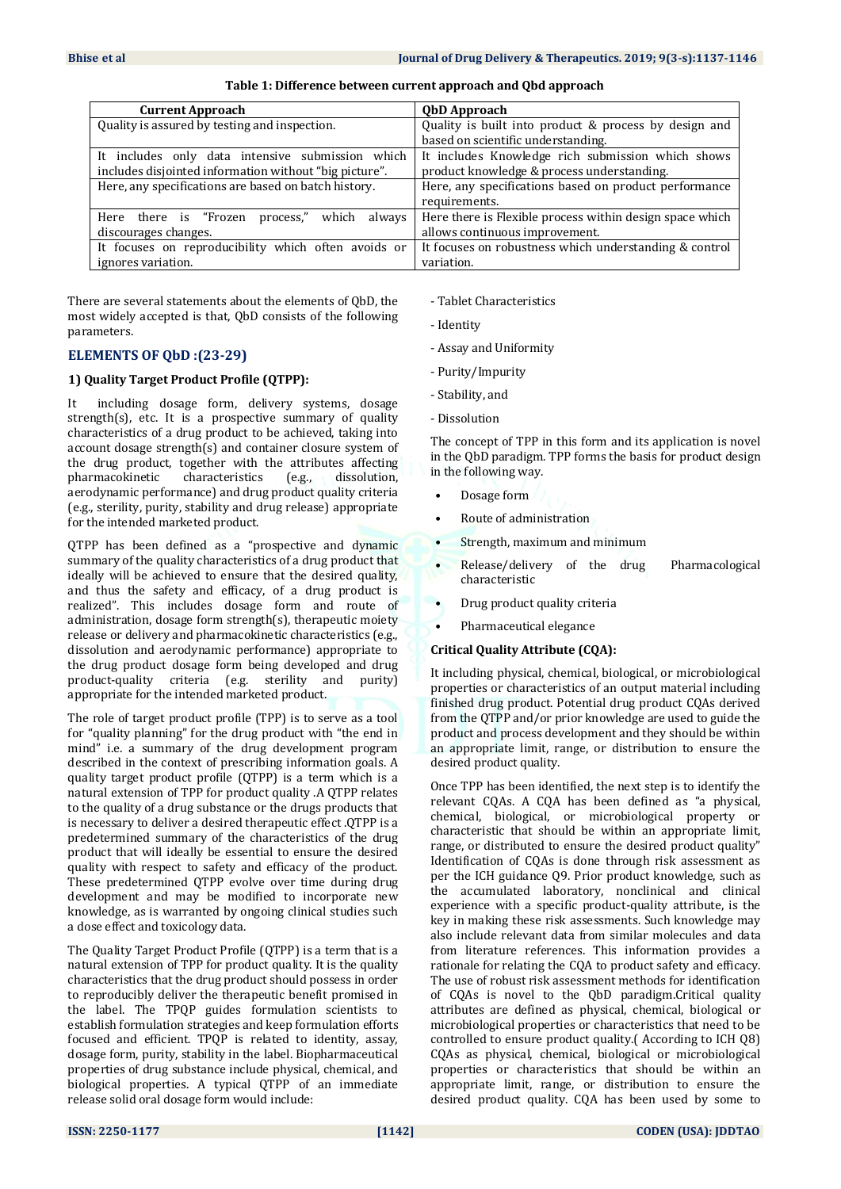**Table 1: Difference between current approach and Qbd approach**

| <b>Current Approach</b>                                | <b>QbD</b> Approach                                      |
|--------------------------------------------------------|----------------------------------------------------------|
| Quality is assured by testing and inspection.          | Quality is built into product & process by design and    |
|                                                        | based on scientific understanding.                       |
| It includes only data intensive submission which       | It includes Knowledge rich submission which shows        |
| includes disjointed information without "big picture". | product knowledge & process understanding.               |
| Here, any specifications are based on batch history.   | Here, any specifications based on product performance    |
|                                                        | requirements.                                            |
| Here there is "Frozen<br>process,"<br>which<br>always  | Here there is Flexible process within design space which |
| discourages changes.                                   | allows continuous improvement.                           |
| It focuses on reproducibility which often avoids or    | It focuses on robustness which understanding & control   |
| ignores variation.                                     | variation.                                               |

There are several statements about the elements of QbD, the most widely accepted is that, QbD consists of the following parameters.

#### **ELEMENTS OF QbD :(23-29)**

#### **1) Quality Target Product Profile (QTPP):**

including dosage form, delivery systems, dosage strength(s), etc. It is a prospective summary of quality characteristics of a drug product to be achieved, taking into account dosage strength(s) and container closure system of the drug product, together with the attributes affecting pharmacokinetic characteristics (e.g., dissolution, aerodynamic performance) and drug product quality criteria (e.g., sterility, purity, stability and drug release) appropriate for the intended marketed product.

QTPP has been defined as a "prospective and dynamic summary of the quality characteristics of a drug product that ideally will be achieved to ensure that the desired quality, and thus the safety and efficacy, of a drug product is realized". This includes dosage form and route of administration, dosage form strength(s), therapeutic moiety release or delivery and pharmacokinetic characteristics (e.g., dissolution and aerodynamic performance) appropriate to the drug product dosage form being developed and drug product-quality criteria (e.g. sterility and purity) appropriate for the intended marketed product.

The role of target product profile (TPP) is to serve as a tool for "quality planning" for the drug product with "the end in mind" i.e. a summary of the drug development program described in the context of prescribing information goals. A quality target product profile (QTPP) is a term which is a natural extension of TPP for product quality .A QTPP relates to the quality of a drug substance or the drugs products that is necessary to deliver a desired therapeutic effect .QTPP is a predetermined summary of the characteristics of the drug product that will ideally be essential to ensure the desired quality with respect to safety and efficacy of the product. These predetermined QTPP evolve over time during drug development and may be modified to incorporate new knowledge, as is warranted by ongoing clinical studies such a dose effect and toxicology data.

The Quality Target Product Profile (QTPP) is a term that is a natural extension of TPP for product quality. It is the quality characteristics that the drug product should possess in order to reproducibly deliver the therapeutic benefit promised in the label. The TPQP guides formulation scientists to establish formulation strategies and keep formulation efforts focused and efficient. TPQP is related to identity, assay, dosage form, purity, stability in the label. Biopharmaceutical properties of drug substance include physical, chemical, and biological properties. A typical QTPP of an immediate release solid oral dosage form would include:

- Tablet Characteristics
- Identity
- Assay and Uniformity
- Purity/Impurity
- Stability, and
- Dissolution

The concept of TPP in this form and its application is novel in the QbD paradigm. TPP forms the basis for product design in the following way.

- Dosage form
- Route of administration
- Strength, maximum and minimum
- Release/delivery of the drug Pharmacological characteristic
- Drug product quality criteria
- Pharmaceutical elegance

#### **Critical Quality Attribute (CQA):**

It including physical, chemical, biological, or microbiological properties or characteristics of an output material including finished drug product. Potential drug product CQAs derived from the QTPP and/or prior knowledge are used to guide the product and process development and they should be within an appropriate limit, range, or distribution to ensure the desired product quality.

Once TPP has been identified, the next step is to identify the relevant CQAs. A CQA has been defined as "a physical, chemical, biological, or microbiological property or characteristic that should be within an appropriate limit, range, or distributed to ensure the desired product quality" Identification of CQAs is done through risk assessment as per the ICH guidance Q9. Prior product knowledge, such as the accumulated laboratory, nonclinical and clinical experience with a specific product-quality attribute, is the key in making these risk assessments. Such knowledge may also include relevant data from similar molecules and data from literature references. This information provides a rationale for relating the CQA to product safety and efficacy. The use of robust risk assessment methods for identification of CQAs is novel to the QbD paradigm.Critical quality attributes are defined as physical, chemical, biological or microbiological properties or characteristics that need to be controlled to ensure product quality.( According to ICH Q8) CQAs as physical, chemical, biological or microbiological properties or characteristics that should be within an appropriate limit, range, or distribution to ensure the desired product quality. CQA has been used by some to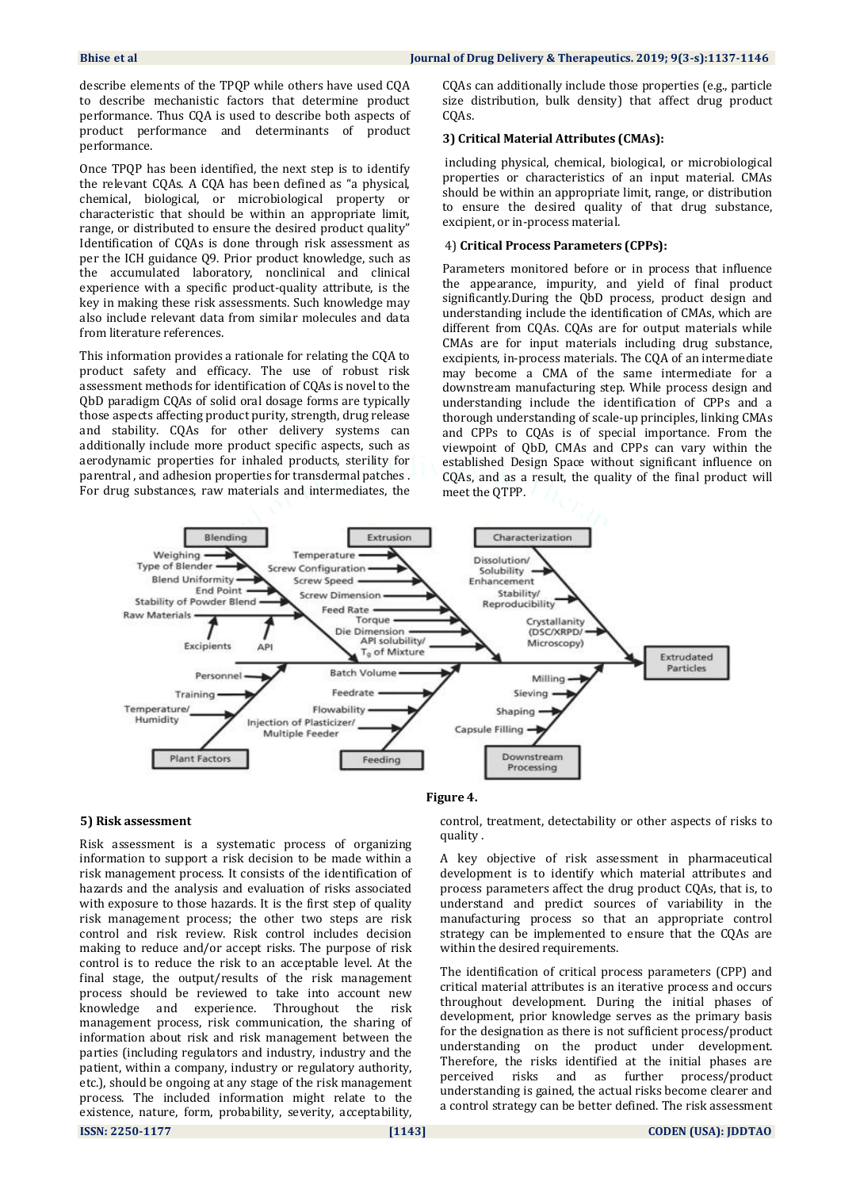describe elements of the TPQP while others have used CQA to describe mechanistic factors that determine product performance. Thus CQA is used to describe both aspects of product performance and determinants of product performance.

Once TPQP has been identified, the next step is to identify the relevant CQAs. A CQA has been defined as "a physical, chemical, biological, or microbiological property or characteristic that should be within an appropriate limit, range, or distributed to ensure the desired product quality" Identification of CQAs is done through risk assessment as per the ICH guidance Q9. Prior product knowledge, such as the accumulated laboratory, nonclinical and clinical experience with a specific product-quality attribute, is the key in making these risk assessments. Such knowledge may also include relevant data from similar molecules and data from literature references.

This information provides a rationale for relating the CQA to product safety and efficacy. The use of robust risk assessment methods for identification of CQAs is novel to the QbD paradigm CQAs of solid oral dosage forms are typically those aspects affecting product purity, strength, drug release and stability. CQAs for other delivery systems can additionally include more product specific aspects, such as aerodynamic properties for inhaled products, sterility for parentral , and adhesion properties for transdermal patches . For drug substances, raw materials and intermediates, the

CQAs can additionally include those properties (e.g., particle size distribution, bulk density) that affect drug product COA<sub>s</sub>.

#### **3) Critical Material Attributes (CMAs):**

including physical, chemical, biological, or microbiological properties or characteristics of an input material. CMAs should be within an appropriate limit, range, or distribution to ensure the desired quality of that drug substance, excipient, or in-process material.

#### 4) **Critical Process Parameters (CPPs):**

Parameters monitored before or in process that influence the appearance, impurity, and yield of final product significantly.During the QbD process, product design and understanding include the identification of CMAs, which are different from CQAs. CQAs are for output materials while CMAs are for input materials including drug substance, excipients, in-process materials. The CQA of an intermediate may become a CMA of the same intermediate for a downstream manufacturing step. While process design and understanding include the identification of CPPs and a thorough understanding of scale-up principles, linking CMAs and CPPs to CQAs is of special importance. From the viewpoint of QbD, CMAs and CPPs can vary within the established Design Space without significant influence on CQAs, and as a result, the quality of the final product will meet the QTPP.



#### **5) Risk assessment**

Risk assessment is a systematic process of organizing information to support a risk decision to be made within a risk management process. It consists of the identification of hazards and the analysis and evaluation of risks associated with exposure to those hazards. It is the first step of quality risk management process; the other two steps are risk control and risk review. Risk control includes decision making to reduce and/or accept risks. The purpose of risk control is to reduce the risk to an acceptable level. At the final stage, the output/results of the risk management process should be reviewed to take into account new knowledge and experience. Throughout the risk management process, risk communication, the sharing of information about risk and risk management between the parties (including regulators and industry, industry and the patient, within a company, industry or regulatory authority, etc.), should be ongoing at any stage of the risk management process. The included information might relate to the existence, nature, form, probability, severity, acceptability,

#### **Figure 4.**

control, treatment, detectability or other aspects of risks to quality .

A key objective of risk assessment in pharmaceutical development is to identify which material attributes and process parameters affect the drug product CQAs, that is, to understand and predict sources of variability in the manufacturing process so that an appropriate control strategy can be implemented to ensure that the CQAs are within the desired requirements.

The identification of critical process parameters (CPP) and critical material attributes is an iterative process and occurs throughout development. During the initial phases of development, prior knowledge serves as the primary basis for the designation as there is not sufficient process/product understanding on the product under development. Therefore, the risks identified at the initial phases are perceived risks and as further process/product understanding is gained, the actual risks become clearer and a control strategy can be better defined. The risk assessment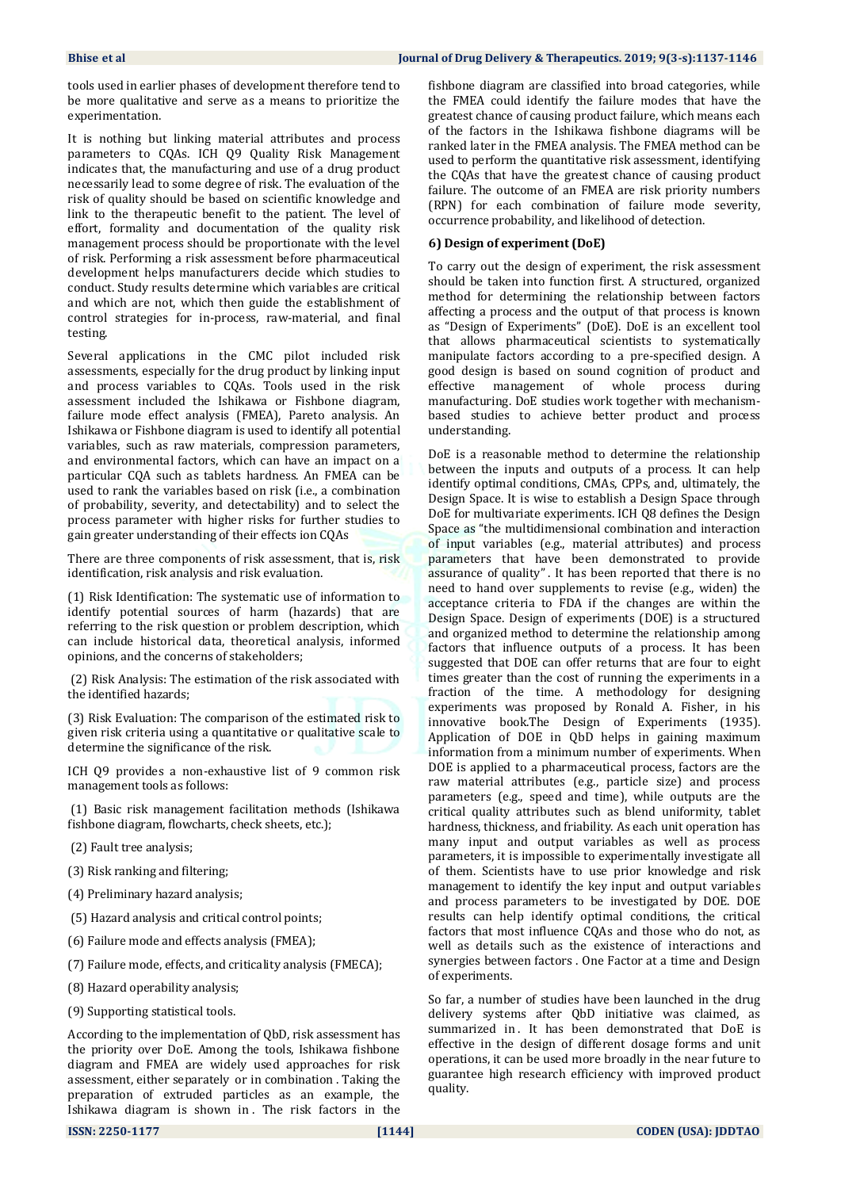tools used in earlier phases of development therefore tend to be more qualitative and serve as a means to prioritize the experimentation.

It is nothing but linking material attributes and process parameters to CQAs. ICH Q9 Quality Risk Management indicates that, the manufacturing and use of a drug product necessarily lead to some degree of risk. The evaluation of the risk of quality should be based on scientific knowledge and link to the therapeutic benefit to the patient. The level of effort, formality and documentation of the quality risk management process should be proportionate with the level of risk. Performing a risk assessment before pharmaceutical development helps manufacturers decide which studies to conduct. Study results determine which variables are critical and which are not, which then guide the establishment of control strategies for in-process, raw-material, and final testing.

Several applications in the CMC pilot included risk assessments, especially for the drug product by linking input and process variables to CQAs. Tools used in the risk assessment included the Ishikawa or Fishbone diagram, failure mode effect analysis (FMEA), Pareto analysis. An Ishikawa or Fishbone diagram is used to identify all potential variables, such as raw materials, compression parameters, and environmental factors, which can have an impact on a particular CQA such as tablets hardness. An FMEA can be used to rank the variables based on risk (i.e., a combination of probability, severity, and detectability) and to select the process parameter with higher risks for further studies to gain greater understanding of their effects ion CQAs

There are three components of risk assessment, that is, risk identification, risk analysis and risk evaluation.

(1) Risk Identification: The systematic use of information to identify potential sources of harm (hazards) that are referring to the risk question or problem description, which can include historical data, theoretical analysis, informed opinions, and the concerns of stakeholders;

(2) Risk Analysis: The estimation of the risk associated with the identified hazards;

(3) Risk Evaluation: The comparison of the estimated risk to given risk criteria using a quantitative or qualitative scale to determine the significance of the risk.

ICH Q9 provides a non-exhaustive list of 9 common risk management tools as follows:

(1) Basic risk management facilitation methods (Ishikawa fishbone diagram, flowcharts, check sheets, etc.);

- (2) Fault tree analysis;
- (3) Risk ranking and filtering;
- (4) Preliminary hazard analysis;
- (5) Hazard analysis and critical control points;
- (6) Failure mode and effects analysis (FMEA);
- (7) Failure mode, effects, and criticality analysis (FMECA);
- (8) Hazard operability analysis;
- (9) Supporting statistical tools.

According to the implementation of QbD, risk assessment has the priority over DoE. Among the tools, Ishikawa fishbone diagram and FMEA are widely used approaches for risk assessment, either separately or in combination . Taking the preparation of extruded particles as an example, the Ishikawa diagram is shown in . The risk factors in the

fishbone diagram are classified into broad categories, while the FMEA could identify the failure modes that have the greatest chance of causing product failure, which means each of the factors in the Ishikawa fishbone diagrams will be ranked later in the FMEA analysis. The FMEA method can be used to perform the quantitative risk assessment, identifying the CQAs that have the greatest chance of causing product failure. The outcome of an FMEA are risk priority numbers (RPN) for each combination of failure mode severity, occurrence probability, and likelihood of detection.

#### **6) Design of experiment (DoE)**

To carry out the design of experiment, the risk assessment should be taken into function first. A structured, organized method for determining the relationship between factors affecting a process and the output of that process is known as "Design of Experiments" (DoE). DoE is an excellent tool that allows pharmaceutical scientists to systematically manipulate factors according to a pre-specified design. A good design is based on sound cognition of product and effective management of whole process during manufacturing. DoE studies work together with mechanismbased studies to achieve better product and process understanding.

DoE is a reasonable method to determine the relationship between the inputs and outputs of a process. It can help identify optimal conditions, CMAs, CPPs, and, ultimately, the Design Space. It is wise to establish a Design Space through DoE for multivariate experiments. ICH Q8 defines the Design Space as "the multidimensional combination and interaction of input variables (e.g., material attributes) and process parameters that have been demonstrated to provide assurance of quality" . It has been reported that there is no need to hand over supplements to revise (e.g., widen) the acceptance criteria to FDA if the changes are within the Design Space. Design of experiments (DOE) is a structured and organized method to determine the relationship among factors that influence outputs of a process. It has been suggested that DOE can offer returns that are four to eight times greater than the cost of running the experiments in a fraction of the time. A methodology for designing experiments was proposed by Ronald A. Fisher, in his innovative book.The Design of Experiments (1935). Application of DOE in QbD helps in gaining maximum information from a minimum number of experiments. When DOE is applied to a pharmaceutical process, factors are the raw material attributes (e.g., particle size) and process parameters (e.g., speed and time), while outputs are the critical quality attributes such as blend uniformity, tablet hardness, thickness, and friability. As each unit operation has many input and output variables as well as process parameters, it is impossible to experimentally investigate all of them. Scientists have to use prior knowledge and risk management to identify the key input and output variables and process parameters to be investigated by DOE. DOE results can help identify optimal conditions, the critical factors that most influence CQAs and those who do not, as well as details such as the existence of interactions and synergies between factors . One Factor at a time and Design of experiments.

So far, a number of studies have been launched in the drug delivery systems after QbD initiative was claimed, as summarized in. It has been demonstrated that DoE is effective in the design of different dosage forms and unit operations, it can be used more broadly in the near future to guarantee high research efficiency with improved product quality.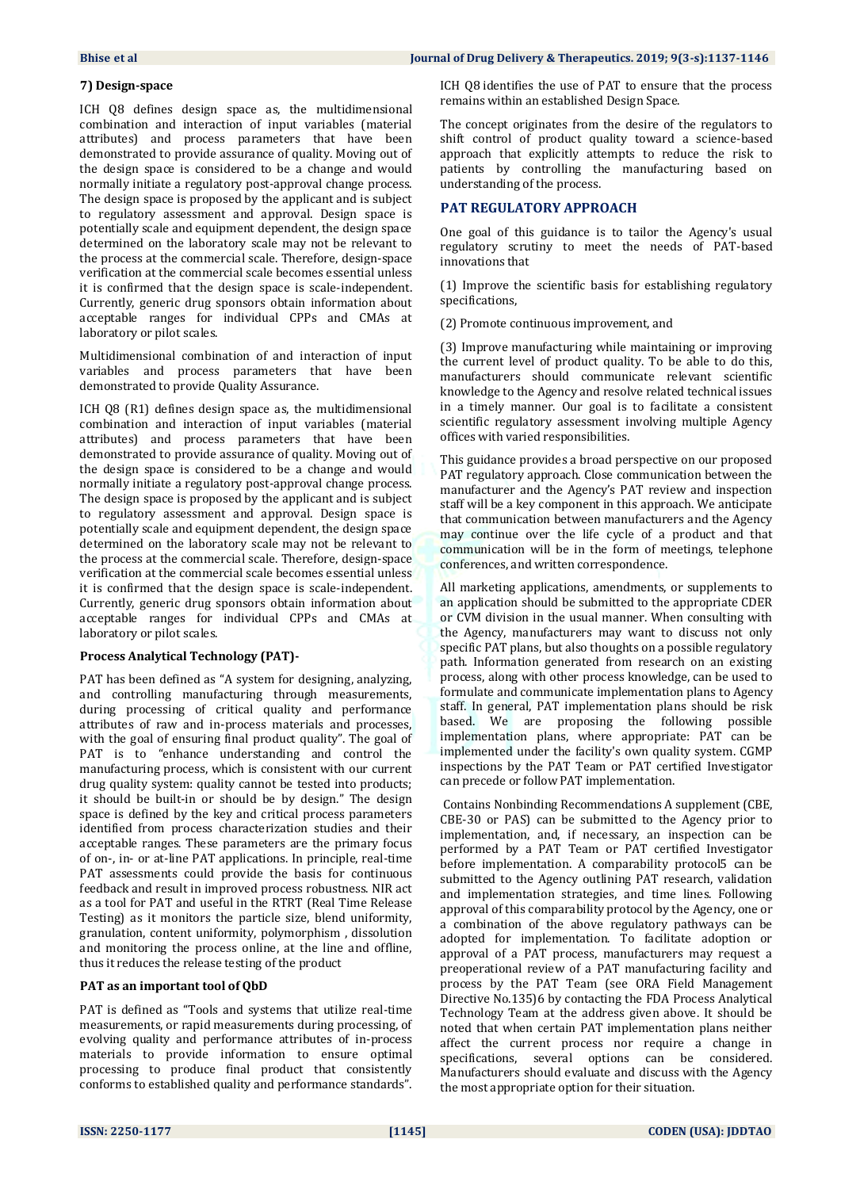#### **7) Design-space**

ICH Q8 defines design space as, the multidimensional combination and interaction of input variables (material attributes) and process parameters that have been demonstrated to provide assurance of quality. Moving out of the design space is considered to be a change and would normally initiate a regulatory post-approval change process. The design space is proposed by the applicant and is subject to regulatory assessment and approval. Design space is potentially scale and equipment dependent, the design space determined on the laboratory scale may not be relevant to the process at the commercial scale. Therefore, design-space verification at the commercial scale becomes essential unless it is confirmed that the design space is scale-independent. Currently, generic drug sponsors obtain information about acceptable ranges for individual CPPs and CMAs at laboratory or pilot scales.

Multidimensional combination of and interaction of input variables and process parameters that have been demonstrated to provide Quality Assurance.

ICH Q8 (R1) defines design space as, the multidimensional combination and interaction of input variables (material attributes) and process parameters that have been demonstrated to provide assurance of quality. Moving out of the design space is considered to be a change and would normally initiate a regulatory post-approval change process. The design space is proposed by the applicant and is subject to regulatory assessment and approval. Design space is potentially scale and equipment dependent, the design space determined on the laboratory scale may not be relevant to the process at the commercial scale. Therefore, design-space verification at the commercial scale becomes essential unless it is confirmed that the design space is scale-independent. Currently, generic drug sponsors obtain information about acceptable ranges for individual CPPs and CMAs at laboratory or pilot scales.

#### **Process Analytical Technology (PAT)-**

PAT has been defined as "A system for designing, analyzing, and controlling manufacturing through measurements, during processing of critical quality and performance attributes of raw and in-process materials and processes, with the goal of ensuring final product quality". The goal of PAT is to "enhance understanding and control the manufacturing process, which is consistent with our current drug quality system: quality cannot be tested into products; it should be built-in or should be by design." The design space is defined by the key and critical process parameters identified from process characterization studies and their acceptable ranges. These parameters are the primary focus of on-, in- or at-line PAT applications. In principle, real-time PAT assessments could provide the basis for continuous feedback and result in improved process robustness. NIR act as a tool for PAT and useful in the RTRT (Real Time Release Testing) as it monitors the particle size, blend uniformity, granulation, content uniformity, polymorphism , dissolution and monitoring the process online, at the line and offline, thus it reduces the release testing of the product

#### **PAT as an important tool of QbD**

PAT is defined as "Tools and systems that utilize real-time measurements, or rapid measurements during processing, of evolving quality and performance attributes of in-process materials to provide information to ensure optimal processing to produce final product that consistently conforms to established quality and performance standards".

ICH Q8 identifies the use of PAT to ensure that the process remains within an established Design Space.

The concept originates from the desire of the regulators to shift control of product quality toward a science-based approach that explicitly attempts to reduce the risk to patients by controlling the manufacturing based on understanding of the process.

#### **PAT REGULATORY APPROACH**

One goal of this guidance is to tailor the Agency's usual regulatory scrutiny to meet the needs of PAT-based innovations that

(1) Improve the scientific basis for establishing regulatory specifications,

(2) Promote continuous improvement, and

(3) Improve manufacturing while maintaining or improving the current level of product quality. To be able to do this, manufacturers should communicate relevant scientific knowledge to the Agency and resolve related technical issues in a timely manner. Our goal is to facilitate a consistent scientific regulatory assessment involving multiple Agency offices with varied responsibilities.

This guidance provides a broad perspective on our proposed PAT regulatory approach. Close communication between the manufacturer and the Agency's PAT review and inspection staff will be a key component in this approach. We anticipate that communication between manufacturers and the Agency may continue over the life cycle of a product and that communication will be in the form of meetings, telephone conferences, and written correspondence.

All marketing applications, amendments, or supplements to an application should be submitted to the appropriate CDER or CVM division in the usual manner. When consulting with the Agency, manufacturers may want to discuss not only specific PAT plans, but also thoughts on a possible regulatory path. Information generated from research on an existing process, along with other process knowledge, can be used to formulate and communicate implementation plans to Agency staff. In general, PAT implementation plans should be risk based. We are proposing the following possible implementation plans, where appropriate: PAT can be implemented under the facility's own quality system. CGMP inspections by the PAT Team or PAT certified Investigator can precede or follow PAT implementation.

Contains Nonbinding Recommendations A supplement (CBE, CBE-30 or PAS) can be submitted to the Agency prior to implementation, and, if necessary, an inspection can be performed by a PAT Team or PAT certified Investigator before implementation. A comparability protocol5 can be submitted to the Agency outlining PAT research, validation and implementation strategies, and time lines. Following approval of this comparability protocol by the Agency, one or a combination of the above regulatory pathways can be adopted for implementation. To facilitate adoption or approval of a PAT process, manufacturers may request a preoperational review of a PAT manufacturing facility and process by the PAT Team (see ORA Field Management Directive No.135)6 by contacting the FDA Process Analytical Technology Team at the address given above. It should be noted that when certain PAT implementation plans neither affect the current process nor require a change in specifications, several options can be considered. Manufacturers should evaluate and discuss with the Agency the most appropriate option for their situation.